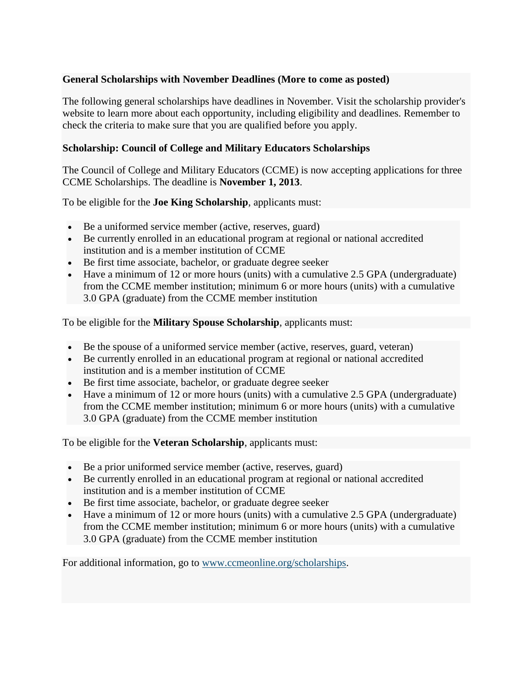## **General Scholarships with November Deadlines (More to come as posted)**

The following general scholarships have deadlines in November. Visit the scholarship provider's website to learn more about each opportunity, including eligibility and deadlines. Remember to check the criteria to make sure that you are qualified before you apply.

## **Scholarship: Council of College and Military Educators Scholarships**

The Council of College and Military Educators (CCME) is now accepting applications for three CCME Scholarships. The deadline is **November 1, 2013**.

To be eligible for the **Joe King Scholarship**, applicants must:

- Be a uniformed service member (active, reserves, guard)
- Be currently enrolled in an educational program at regional or national accredited institution and is a member institution of CCME
- Be first time associate, bachelor, or graduate degree seeker
- Have a minimum of 12 or more hours (units) with a cumulative 2.5 GPA (undergraduate) from the CCME member institution; minimum 6 or more hours (units) with a cumulative 3.0 GPA (graduate) from the CCME member institution

To be eligible for the **Military Spouse Scholarship**, applicants must:

- Be the spouse of a uniformed service member (active, reserves, guard, veteran)
- Be currently enrolled in an educational program at regional or national accredited institution and is a member institution of CCME
- Be first time associate, bachelor, or graduate degree seeker
- Have a minimum of 12 or more hours (units) with a cumulative 2.5 GPA (undergraduate) from the CCME member institution; minimum 6 or more hours (units) with a cumulative 3.0 GPA (graduate) from the CCME member institution

To be eligible for the **Veteran Scholarship**, applicants must:

- Be a prior uniformed service member (active, reserves, guard)
- Be currently enrolled in an educational program at regional or national accredited institution and is a member institution of CCME
- Be first time associate, bachelor, or graduate degree seeker
- Have a minimum of 12 or more hours (units) with a cumulative 2.5 GPA (undergraduate) from the CCME member institution; minimum 6 or more hours (units) with a cumulative 3.0 GPA (graduate) from the CCME member institution

For additional information, go to [www.ccmeonline.org/scholarships.](http://ccmeonline.org/scholarships)